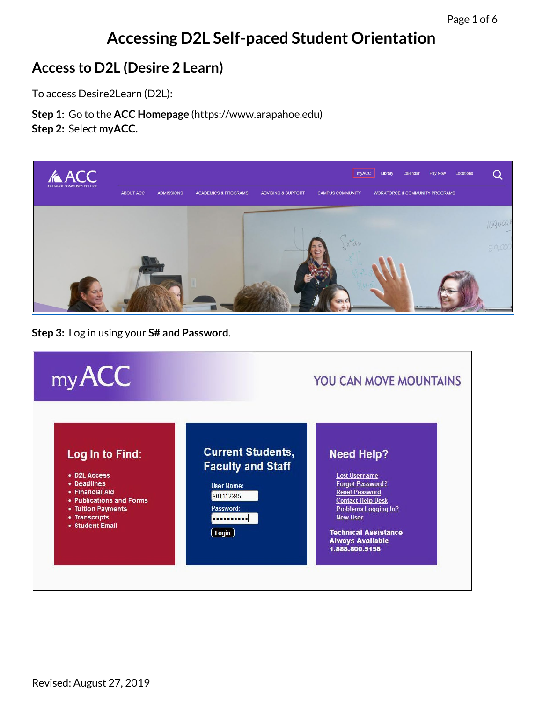# **Accessing D2L Self-paced Student Orientation**

### **Access to D2L (Desire 2 Learn)**

To access Desire2Learn (D2L):

**Step 1:** Go to the **[ACC Homepage](https://www.arapahoe.edu/)** (https://www.arapahoe.edu) **Step 2:** Select **myACC.**



**Step 3:** Log in using your **S# and Password**.

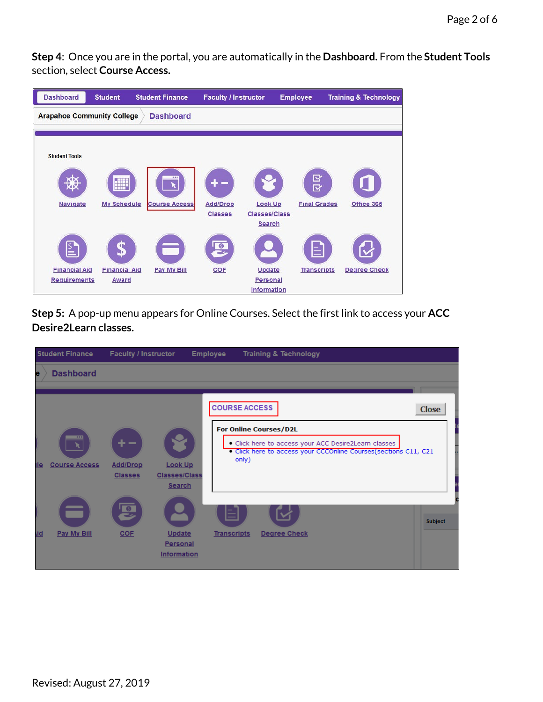**Step 4**: Once you are in the portal, you are automatically in the **Dashboard.** From the **Student Tools**  section, select **Course Access.**



**Step 5:** A pop-up menu appears for Online Courses. Select the first link to access your **ACC Desire2Learn classes.**

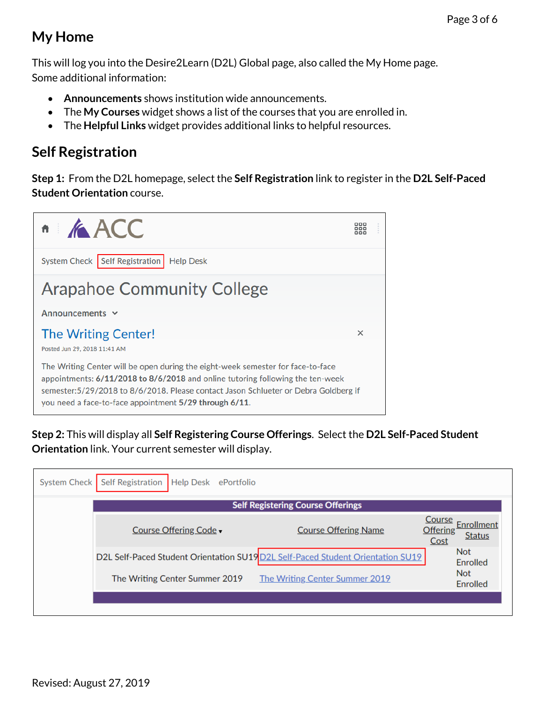## **My Home**

This will log you into the Desire2Learn (D2L) Global page, also called the My Home page. Some additional information:

- **Announcements** shows institution wide announcements.
- The **My Courses** widget shows a list of the courses that you are enrolled in.
- The **Helpful Links** widget provides additional links to helpful resources.

## **Self Registration**

**Step 1:** From the D2L homepage, select the **Self Registration** link to register in the **D2L Self-Paced Student Orientation** course.



**Step 2:** This will display all **Self Registering Course Offerings**. Select the **D2L Self-Paced Student Orientation** link. Your current semester will display.

| System Check | Self Registration   Help Desk ePortfolio |                                                                                 |                                                                        |  |  |  |  |
|--------------|------------------------------------------|---------------------------------------------------------------------------------|------------------------------------------------------------------------|--|--|--|--|
|              | <b>Self Registering Course Offerings</b> |                                                                                 |                                                                        |  |  |  |  |
|              | Course Offering Code -                   | <b>Course Offering Name</b>                                                     | Course<br>Enrollment<br>Offering <sup>1</sup><br><b>Status</b><br>Cost |  |  |  |  |
|              |                                          | D2L Self-Paced Student Orientation SU19 D2L Self-Paced Student Orientation SU19 | <b>Not</b><br>Enrolled                                                 |  |  |  |  |
|              | The Writing Center Summer 2019           | The Writing Center Summer 2019                                                  | <b>Not</b><br>Enrolled                                                 |  |  |  |  |
|              |                                          |                                                                                 |                                                                        |  |  |  |  |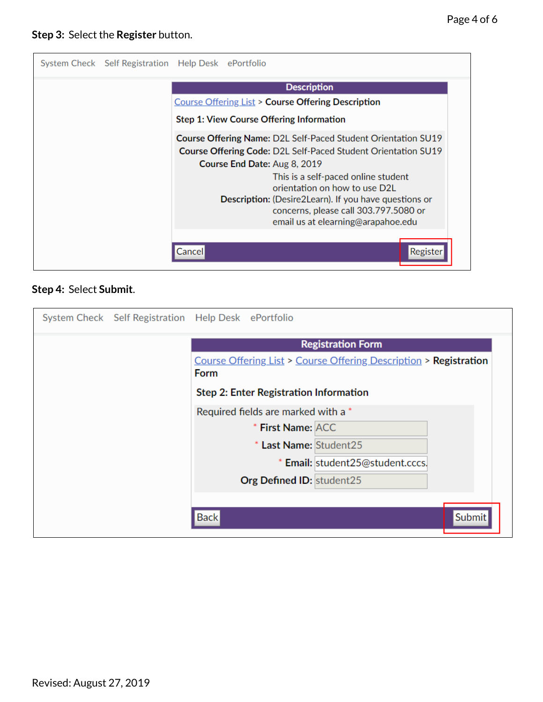

#### **Step 4:** Select **Submit**.

| System Check Self Registration Help Desk ePortfolio |                                                                                  |                           |                                  |        |
|-----------------------------------------------------|----------------------------------------------------------------------------------|---------------------------|----------------------------------|--------|
|                                                     | <b>Registration Form</b>                                                         |                           |                                  |        |
|                                                     | Course Offering List > Course Offering Description > Registration<br><b>Form</b> |                           |                                  |        |
|                                                     | Step 2: Enter Registration Information                                           |                           |                                  |        |
|                                                     | Required fields are marked with a *                                              |                           |                                  |        |
|                                                     |                                                                                  | * First Name: ACC         |                                  |        |
|                                                     |                                                                                  | * Last Name: Student25    |                                  |        |
|                                                     |                                                                                  |                           | * Email: student25@student.cccs. |        |
|                                                     |                                                                                  | Org Defined ID: student25 |                                  |        |
|                                                     |                                                                                  |                           |                                  |        |
|                                                     | <b>Back</b>                                                                      |                           |                                  | Submit |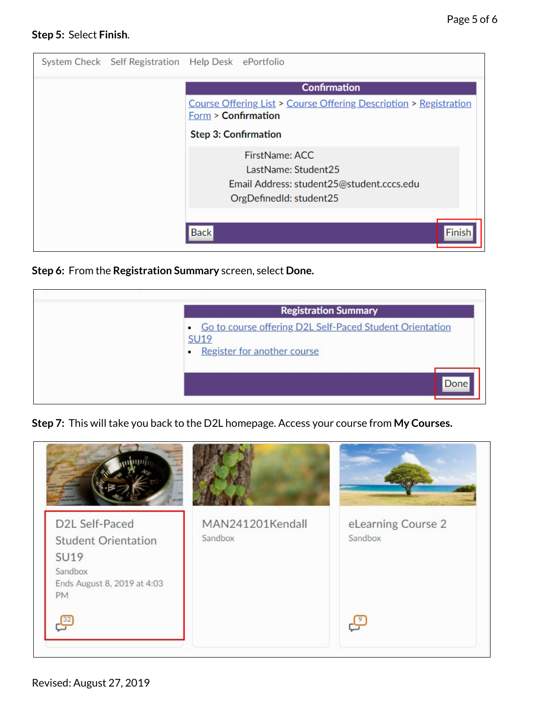#### **Step 5:** Select **Finish**.

| System Check Self Registration Help Desk ePortfolio |                                                                                          |                                                                                                               |  |  |  |
|-----------------------------------------------------|------------------------------------------------------------------------------------------|---------------------------------------------------------------------------------------------------------------|--|--|--|
|                                                     | <b>Confirmation</b>                                                                      |                                                                                                               |  |  |  |
|                                                     | Course Offering List > Course Offering Description > Registration<br>Form > Confirmation |                                                                                                               |  |  |  |
|                                                     | <b>Step 3: Confirmation</b>                                                              |                                                                                                               |  |  |  |
|                                                     |                                                                                          | FirstName: ACC<br>LastName: Student25<br>Email Address: student25@student.cccs.edu<br>OrgDefinedId: student25 |  |  |  |
|                                                     | <b>Back</b>                                                                              | Finis                                                                                                         |  |  |  |

#### **Step 6:** From the **Registration Summary** screen, select **Done.**



**Step 7:** This will take you back to the D2L homepage. Access your course from **My Courses.**